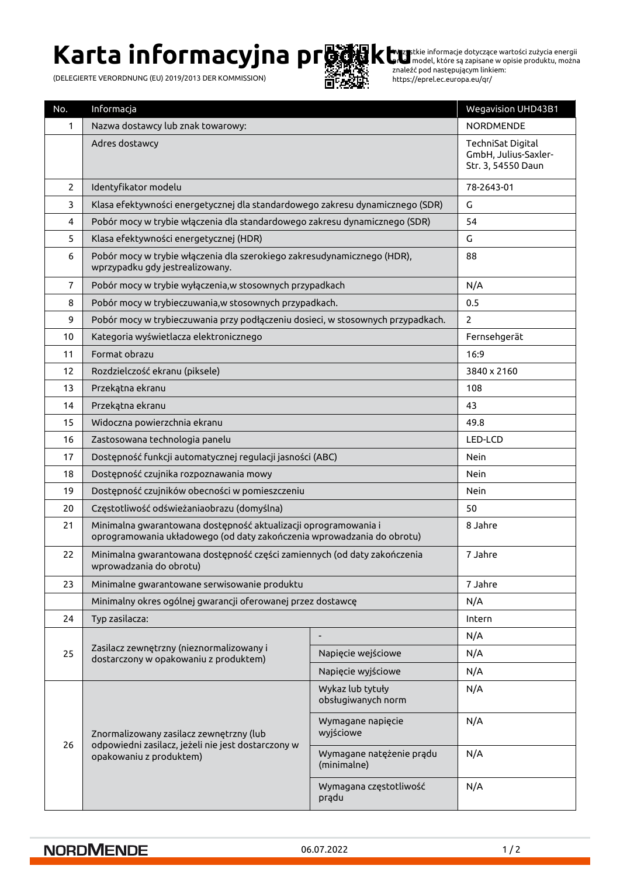# **Karta informacyjna pr隣線ktu**

(DELEGIERTE VERORDNUNG (EU) 2019/2013 DER KOMMISSION)



Wszystkie informacje dotyczące wartości zużycia energii przez model, które są zapisane w opisie produktu, można znaleźć pod następującym linkiem: https://eprel.ec.europa.eu/qr/

| No.            | Informacja                                                                                                                                |                                         | <b>Wegavision UHD43B1</b>                                       |
|----------------|-------------------------------------------------------------------------------------------------------------------------------------------|-----------------------------------------|-----------------------------------------------------------------|
| 1              | Nazwa dostawcy lub znak towarowy:                                                                                                         |                                         | <b>NORDMENDE</b>                                                |
|                | Adres dostawcy                                                                                                                            |                                         | TechniSat Digital<br>GmbH, Julius-Saxler-<br>Str. 3, 54550 Daun |
| $\overline{2}$ | Identyfikator modelu                                                                                                                      |                                         | 78-2643-01                                                      |
| 3              | Klasa efektywności energetycznej dla standardowego zakresu dynamicznego (SDR)                                                             |                                         | G                                                               |
| 4              | Pobór mocy w trybie włączenia dla standardowego zakresu dynamicznego (SDR)                                                                |                                         | 54                                                              |
| 5              | Klasa efektywności energetycznej (HDR)                                                                                                    |                                         | G                                                               |
| 6              | Pobór mocy w trybie włączenia dla szerokiego zakresudynamicznego (HDR),<br>wprzypadku gdy jestrealizowany.                                |                                         | 88                                                              |
| $\overline{7}$ | Pobór mocy w trybie wyłączenia, w stosownych przypadkach                                                                                  |                                         | N/A                                                             |
| 8              | Pobór mocy w trybieczuwania, w stosownych przypadkach.                                                                                    |                                         | 0.5                                                             |
| 9              | Pobór mocy w trybieczuwania przy podłączeniu dosieci, w stosownych przypadkach.                                                           |                                         | $\overline{2}$                                                  |
| 10             | Kategoria wyświetlacza elektronicznego                                                                                                    |                                         | Fernsehgerät                                                    |
| 11             | Format obrazu                                                                                                                             |                                         | 16:9                                                            |
| 12             | Rozdzielczość ekranu (piksele)                                                                                                            |                                         | 3840 x 2160                                                     |
| 13             | Przekątna ekranu                                                                                                                          |                                         | 108                                                             |
| 14             | Przekątna ekranu                                                                                                                          |                                         | 43                                                              |
| 15             | Widoczna powierzchnia ekranu                                                                                                              |                                         | 49.8                                                            |
| 16             | Zastosowana technologia panelu                                                                                                            |                                         | LED-LCD                                                         |
| 17             | Dostępność funkcji automatycznej regulacji jasności (ABC)                                                                                 |                                         | Nein                                                            |
| 18             | Dostępność czujnika rozpoznawania mowy                                                                                                    |                                         | Nein                                                            |
| 19             | Dostępność czujników obecności w pomieszczeniu                                                                                            |                                         | Nein                                                            |
| 20             | Częstotliwość odświeżaniaobrazu (domyślna)                                                                                                |                                         | 50                                                              |
| 21             | Minimalna gwarantowana dostępność aktualizacji oprogramowania i<br>oprogramowania układowego (od daty zakończenia wprowadzania do obrotu) |                                         | 8 Jahre                                                         |
| 22             | Minimalna gwarantowana dostępność części zamiennych (od daty zakończenia<br>wprowadzania do obrotu)                                       |                                         | 7 Jahre                                                         |
| 23             | Minimalne gwarantowane serwisowanie produktu                                                                                              |                                         | 7 Jahre                                                         |
|                | Minimalny okres ogólnej gwarancji oferowanej przez dostawcę                                                                               |                                         | N/A                                                             |
| 24             | Typ zasilacza:                                                                                                                            |                                         | Intern                                                          |
| 25             | Zasilacz zewnętrzny (nieznormalizowany i<br>dostarczony w opakowaniu z produktem)                                                         |                                         | N/A                                                             |
|                |                                                                                                                                           | Napięcie wejściowe                      | N/A                                                             |
|                |                                                                                                                                           | Napięcie wyjściowe                      | N/A                                                             |
| 26             | Znormalizowany zasilacz zewnętrzny (lub<br>odpowiedni zasilacz, jeżeli nie jest dostarczony w<br>opakowaniu z produktem)                  | Wykaz lub tytuły<br>obsługiwanych norm  | N/A                                                             |
|                |                                                                                                                                           | Wymagane napięcie<br>wyjściowe          | N/A                                                             |
|                |                                                                                                                                           | Wymagane natężenie prądu<br>(minimalne) | N/A                                                             |
|                |                                                                                                                                           | Wymagana częstotliwość<br>prądu         | N/A                                                             |

#### **NORDMENDE**